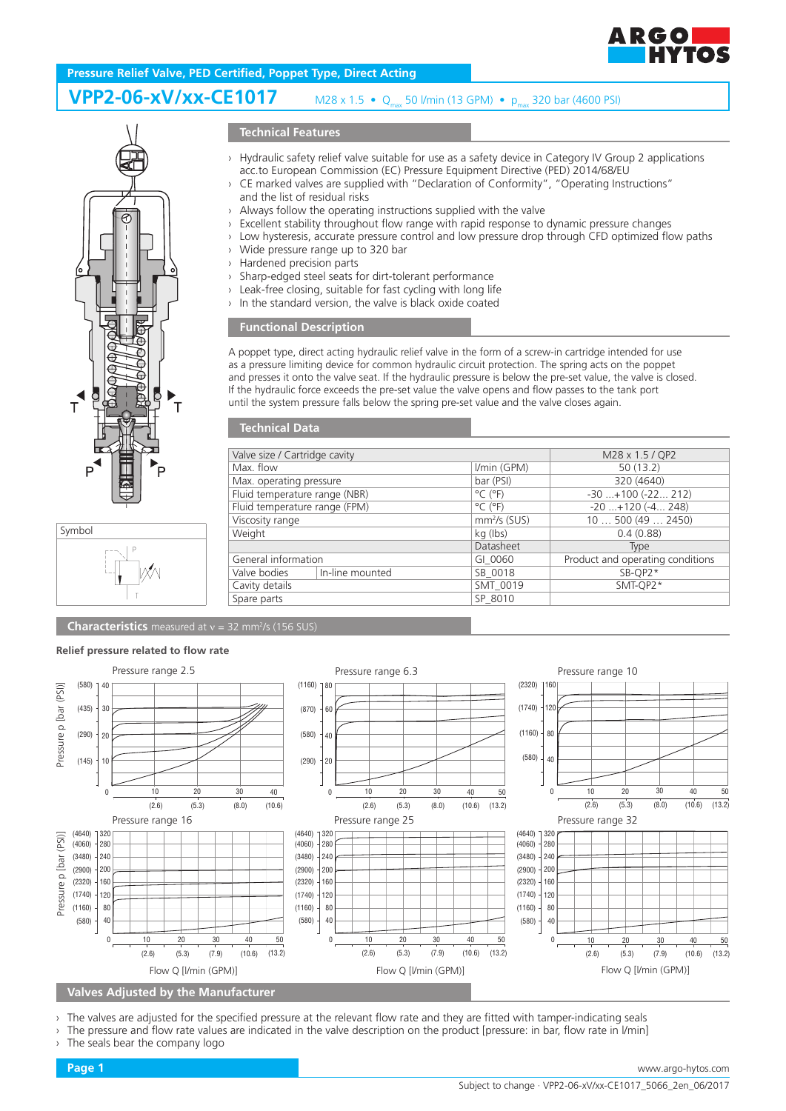

# **Pressure Relief Valve, PED Certified, Poppet Type, Direct Acting**

### **VPP2-06-xV/xx-CE1017** M28 x 1.5 • Q<sub>max</sub> 50 l/min (13 GPM) • p<sub>max</sub> 320 bar (4600 PSI)





## **Technical Features**

- › Hydraulic safety relief valve suitable for use as a safety device in Category IV Group 2 applications acc.to European Commission (EC) Pressure Equipment Directive (PED) 2014/68/EU
- › CE marked valves are supplied with "Declaration of Conformity", "Operating Instructions" and the list of residual risks
- Always follow the operating instructions supplied with the valve
- Excellent stability throughout flow range with rapid response to dynamic pressure changes
- Low hysteresis, accurate pressure control and low pressure drop through CFD optimized flow paths
- Wide pressure range up to 320 bar
- › Hardened precision parts
- › Sharp-edged steel seats for dirt-tolerant performance
- › Leak-free closing, suitable for fast cycling with long life
- In the standard version, the valve is black oxide coated

### **Functional Description**

A poppet type, direct acting hydraulic relief valve in the form of a screw-in cartridge intended for use as a pressure limiting device for common hydraulic circuit protection. The spring acts on the poppet and presses it onto the valve seat. If the hydraulic pressure is below the pre-set value, the valve is closed. If the hydraulic force exceeds the pre-set value the valve opens and flow passes to the tank port until the system pressure falls below the spring pre-set value and the valve closes again.

| <b>Technical Data</b>         |                 |                              |                                  |
|-------------------------------|-----------------|------------------------------|----------------------------------|
|                               |                 |                              |                                  |
| Valve size / Cartridge cavity |                 |                              | M28 x 1.5 / QP2                  |
| Max. flow                     |                 | I/min (GPM)                  | 50(13.2)                         |
| Max. operating pressure       |                 | bar (PSI)                    | 320 (4640)                       |
| Fluid temperature range (NBR) |                 | $^{\circ}$ C ( $^{\circ}$ F) | $-30+100$ $(-22 212)$            |
| Fluid temperature range (FPM) |                 | $^{\circ}$ C ( $^{\circ}$ F) | $-20$ +120 $(-4$ 248)            |
| Viscosity range               |                 | $mm2/s$ (SUS)                | 10500(492450)                    |
| Weight                        |                 | kg (lbs)                     | 0.4(0.88)                        |
|                               |                 | Datasheet                    | Type                             |
| General information           |                 | GI 0060                      | Product and operating conditions |
| Valve bodies                  | In-line mounted | SB 0018                      | $SB-OP2*$                        |
| Cavity details                |                 | SMT 0019                     | SMT-OP2*                         |
| Spare parts                   |                 | SP 8010                      |                                  |
|                               |                 |                              |                                  |

**Characteristics** measured at v = 32 mm<sup>2</sup>/s (156 SUS)

#### **Relief pressure related to flow rate** Pressure range 2.5 Pressure range 6.3 Pressure range 6.3 Pressure range 10 (580) (1160)  $(2320)$  $(PSD)$ Pressure p [bar (PSI)] 40 80 Pressure p [bar (435) (870) (1740) 30 120 60 (1160) (290) (580)  $20$  $80$ 40 (580) (145) 10 (290)  $20$ 40 0 10 20 30 40 0 10 20 30 40 50 0 10 20 30 40 50  $(2.6)$   $(5.3)$   $(8.0)$   $(10.6)$   $(13.2)$ (2.6) (5.3) (8.0) (10.6) (13.2)  $(2.6)$   $(5.3)$   $(8.0)$   $(10.6)$ Pressure range 16 Pressure range 25 Pressure range 25 Pressure range 32  $(4640)$ ]  $(4640)$ 320 1.320 Pressure p [bar (PSI)]  $(4640)$  ] 320 Pressure p [bar (PSI)]  $(4060)$ 280  $(4060)$  $(4060)$ 280 280  $(3480)$  $240$  $(3480)$  $(3480)$ 24 240  $(2900)$  $200$  $(2900)$  $20$  $(2900)$  $200$  $(2320)$ 160  $(2320)$ 160  $(2320)$ 160  $(1740)$  $12<sub>0</sub>$  $(1740)$  $191$  $(1740)$  $120$  $(1160)$  $\overline{80}$  $(1160)$ <sub>8</sub>  $(1160)$ **80**  $(580)$  $\overline{40}$  $(580)$ <sup>4</sup>  $(580)$  $\overline{40}$ 40 50 40 0 10 20 30 0 10 20 30 40 50 0 10 20 30  $(2.6)$   $(5.3)$   $(7.9)$  $(10.6)$  $(13.2)$  $(2.6)$   $(5.3)$   $(7.9)$ (10.6) (13.2)  $(2.6)$   $(5.3)$   $(7.9)$ (10.6) Flow Q [I/min (GPM)] Flow Q [I/min (GPM)] Flow Q [I/min (GPM)] Flow Q [I/min (GPM)] **Valves Adjusted by the Manufacturer**

The valves are adjusted for the specified pressure at the relevant flow rate and they are fitted with tamper-indicating seals

The pressure and flow rate values are indicated in the valve description on the product [pressure: in bar, flow rate in l/min]

50 (13.2)

The seals bear the company logo